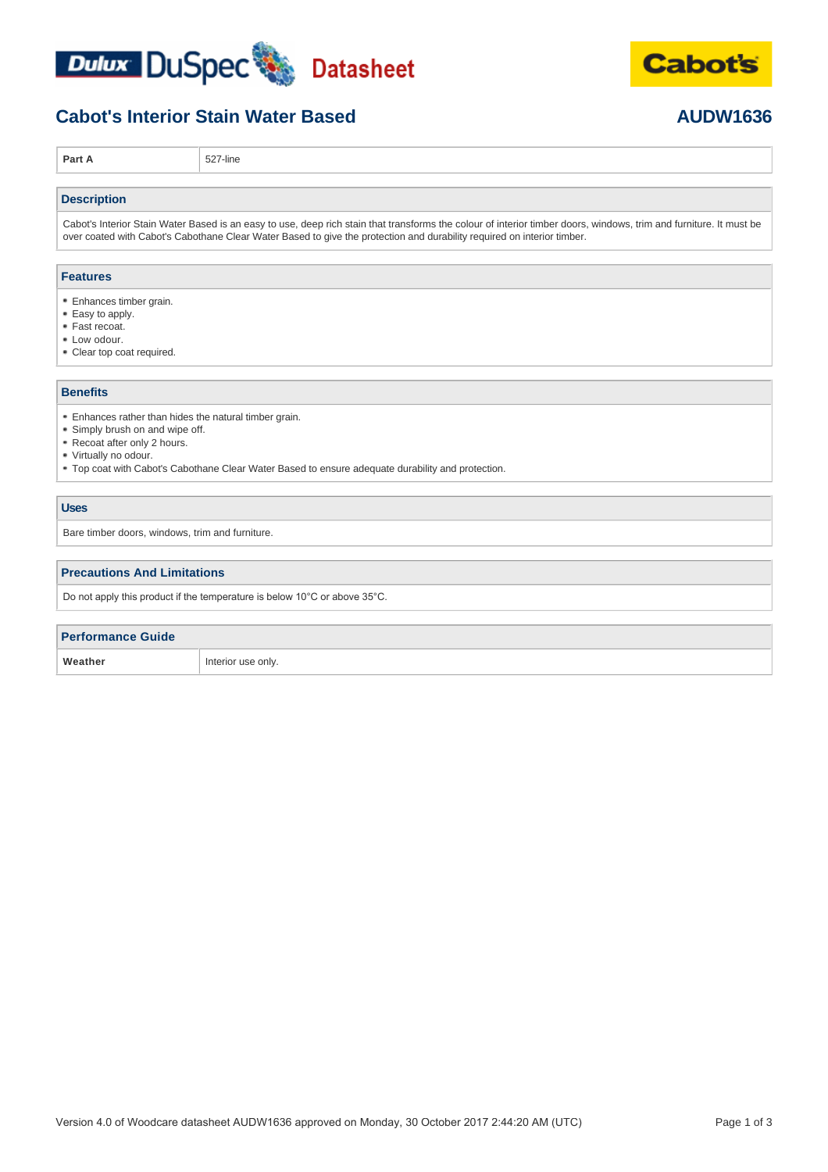



## **Cabot's Interior Stain Water Based <b>AUDW1636 AUDW1636**

**Part A** 527-line

#### **Description**

Cabot's Interior Stain Water Based is an easy to use, deep rich stain that transforms the colour of interior timber doors, windows, trim and furniture. It must be over coated with Cabot's Cabothane Clear Water Based to give the protection and durability required on interior timber.

#### **Features**

- Enhances timber grain.
- Easy to apply.
- Fast recoat.
- Low odour.
- Clear top coat required.

#### **Benefits**

- Enhances rather than hides the natural timber grain.
- Simply brush on and wipe off.
- Recoat after only 2 hours.
- Virtually no odour.
- Top coat with Cabot's Cabothane Clear Water Based to ensure adequate durability and protection.

#### **Uses**

Bare timber doors, windows, trim and furniture.

#### **Precautions And Limitations**

Do not apply this product if the temperature is below 10°C or above 35°C.

| <b>Performance Guide</b> |                    |
|--------------------------|--------------------|
| Weather                  | Interior use only. |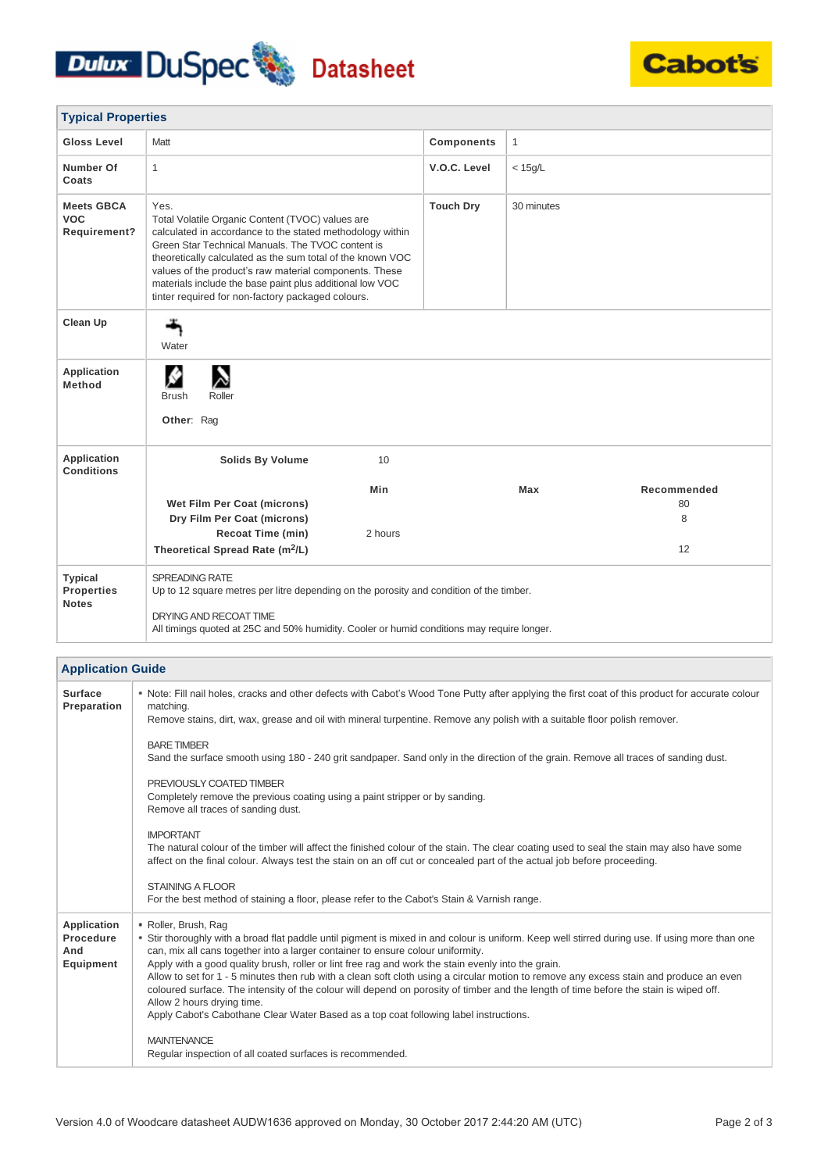# Dulux DuSpec Datasheet



| <b>Typical Properties</b>                           |                                                                                                                                                                                                                                                                                                                                                                                                                     |         |                   |            |             |
|-----------------------------------------------------|---------------------------------------------------------------------------------------------------------------------------------------------------------------------------------------------------------------------------------------------------------------------------------------------------------------------------------------------------------------------------------------------------------------------|---------|-------------------|------------|-------------|
| <b>Gloss Level</b>                                  | Matt                                                                                                                                                                                                                                                                                                                                                                                                                |         | <b>Components</b> | 1          |             |
| Number Of<br>Coats                                  | $\mathbf{1}$                                                                                                                                                                                                                                                                                                                                                                                                        |         | V.O.C. Level      | $<$ 15g/L  |             |
| <b>Meets GBCA</b><br><b>VOC</b><br>Requirement?     | Yes.<br>Total Volatile Organic Content (TVOC) values are<br>calculated in accordance to the stated methodology within<br>Green Star Technical Manuals. The TVOC content is<br>theoretically calculated as the sum total of the known VOC<br>values of the product's raw material components. These<br>materials include the base paint plus additional low VOC<br>tinter required for non-factory packaged colours. |         | <b>Touch Dry</b>  | 30 minutes |             |
| <b>Clean Up</b>                                     | Water                                                                                                                                                                                                                                                                                                                                                                                                               |         |                   |            |             |
| Application<br>Method                               | Roller<br><b>Brush</b><br>Other: Rag                                                                                                                                                                                                                                                                                                                                                                                |         |                   |            |             |
| <b>Application</b><br><b>Conditions</b>             | <b>Solids By Volume</b>                                                                                                                                                                                                                                                                                                                                                                                             | 10      |                   |            |             |
|                                                     |                                                                                                                                                                                                                                                                                                                                                                                                                     | Min     |                   | Max        | Recommended |
|                                                     | Wet Film Per Coat (microns)                                                                                                                                                                                                                                                                                                                                                                                         |         |                   |            | 80          |
|                                                     | Dry Film Per Coat (microns)                                                                                                                                                                                                                                                                                                                                                                                         |         |                   |            | 8           |
|                                                     | <b>Recoat Time (min)</b>                                                                                                                                                                                                                                                                                                                                                                                            | 2 hours |                   |            |             |
|                                                     | Theoretical Spread Rate (m <sup>2</sup> /L)                                                                                                                                                                                                                                                                                                                                                                         |         |                   |            | 12          |
| <b>Typical</b><br><b>Properties</b><br><b>Notes</b> | <b>SPREADING RATE</b><br>Up to 12 square metres per litre depending on the porosity and condition of the timber.<br>DRYING AND RECOAT TIME<br>All timings quoted at 25C and 50% humidity. Cooler or humid conditions may require longer.                                                                                                                                                                            |         |                   |            |             |

| <b>Application Guide</b>                     |                                                                                                                                                                                                                                                                                                                                                                                                                                                                                                                                                                                                                                                                                                                                                                             |  |
|----------------------------------------------|-----------------------------------------------------------------------------------------------------------------------------------------------------------------------------------------------------------------------------------------------------------------------------------------------------------------------------------------------------------------------------------------------------------------------------------------------------------------------------------------------------------------------------------------------------------------------------------------------------------------------------------------------------------------------------------------------------------------------------------------------------------------------------|--|
| <b>Surface</b><br>Preparation                | * Note: Fill nail holes, cracks and other defects with Cabot's Wood Tone Putty after applying the first coat of this product for accurate colour<br>matching.<br>Remove stains, dirt, wax, grease and oil with mineral turpentine. Remove any polish with a suitable floor polish remover.                                                                                                                                                                                                                                                                                                                                                                                                                                                                                  |  |
|                                              | <b>BARE TIMBER</b><br>Sand the surface smooth using 180 - 240 grit sandpaper. Sand only in the direction of the grain. Remove all traces of sanding dust.                                                                                                                                                                                                                                                                                                                                                                                                                                                                                                                                                                                                                   |  |
|                                              | PREVIOUSLY COATED TIMBER<br>Completely remove the previous coating using a paint stripper or by sanding.<br>Remove all traces of sanding dust.                                                                                                                                                                                                                                                                                                                                                                                                                                                                                                                                                                                                                              |  |
|                                              | <b>IMPORTANT</b><br>The natural colour of the timber will affect the finished colour of the stain. The clear coating used to seal the stain may also have some<br>affect on the final colour. Always test the stain on an off cut or concealed part of the actual job before proceeding.                                                                                                                                                                                                                                                                                                                                                                                                                                                                                    |  |
|                                              | <b>STAINING A FLOOR</b><br>For the best method of staining a floor, please refer to the Cabot's Stain & Varnish range.                                                                                                                                                                                                                                                                                                                                                                                                                                                                                                                                                                                                                                                      |  |
| Application<br>Procedure<br>And<br>Equipment | • Roller, Brush, Rag<br>* Stir thoroughly with a broad flat paddle until pigment is mixed in and colour is uniform. Keep well stirred during use. If using more than one<br>can, mix all cans together into a larger container to ensure colour uniformity.<br>Apply with a good quality brush, roller or lint free rag and work the stain evenly into the grain.<br>Allow to set for 1 - 5 minutes then rub with a clean soft cloth using a circular motion to remove any excess stain and produce an even<br>coloured surface. The intensity of the colour will depend on porosity of timber and the length of time before the stain is wiped off.<br>Allow 2 hours drying time.<br>Apply Cabot's Cabothane Clear Water Based as a top coat following label instructions. |  |
|                                              | <b>MAINTENANCE</b><br>Regular inspection of all coated surfaces is recommended.                                                                                                                                                                                                                                                                                                                                                                                                                                                                                                                                                                                                                                                                                             |  |